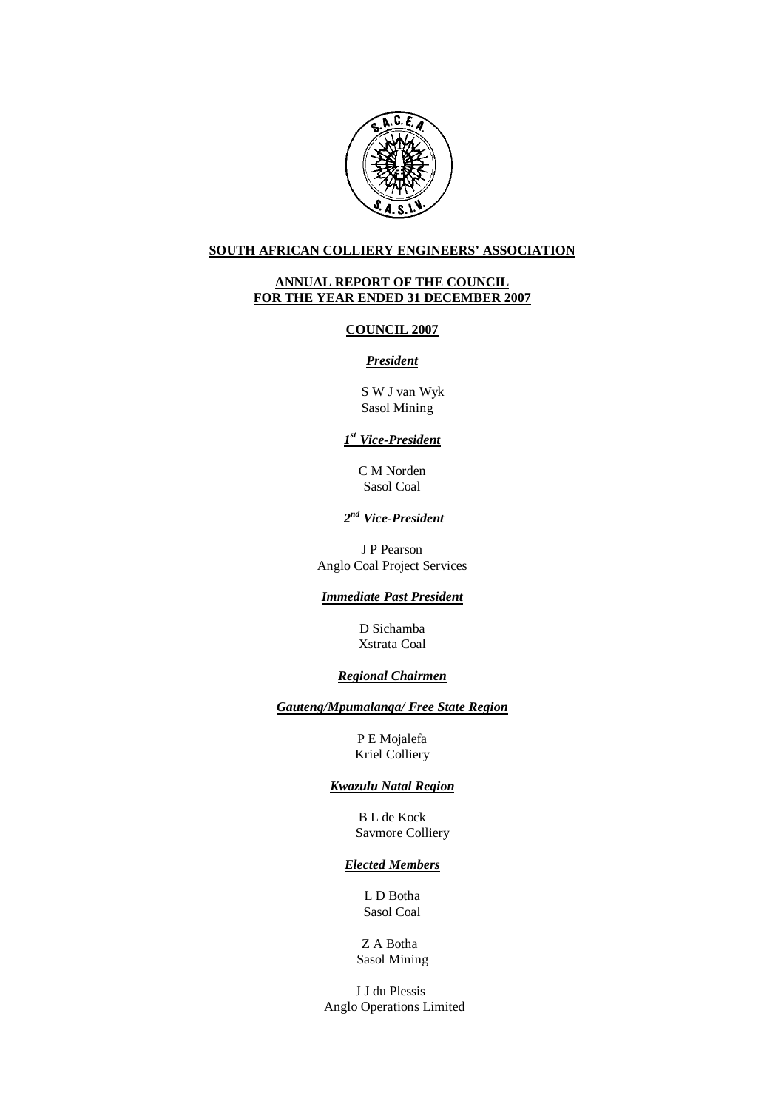

## **SOUTH AFRICAN COLLIERY ENGINEERS' ASSOCIATION**

## **ANNUAL REPORT OF THE COUNCIL FOR THE YEAR ENDED 31 DECEMBER 2007**

## **COUNCIL 2007**

## *President*

S W J van Wyk Sasol Mining

## *1 st Vice-President*

C M Norden Sasol Coal

## *2 nd Vice-President*

J P Pearson Anglo Coal Project Services

# *Immediate Past President*

D Sichamba Xstrata Coal

## *Regional Chairmen*

*Gauteng/Mpumalanga/ Free State Region*

## P E Mojalefa Kriel Colliery

## *Kwazulu Natal Region*

B L de Kock Savmore Colliery

## *Elected Members*

L D Botha Sasol Coal

## Z A Botha Sasol Mining

J J du Plessis Anglo Operations Limited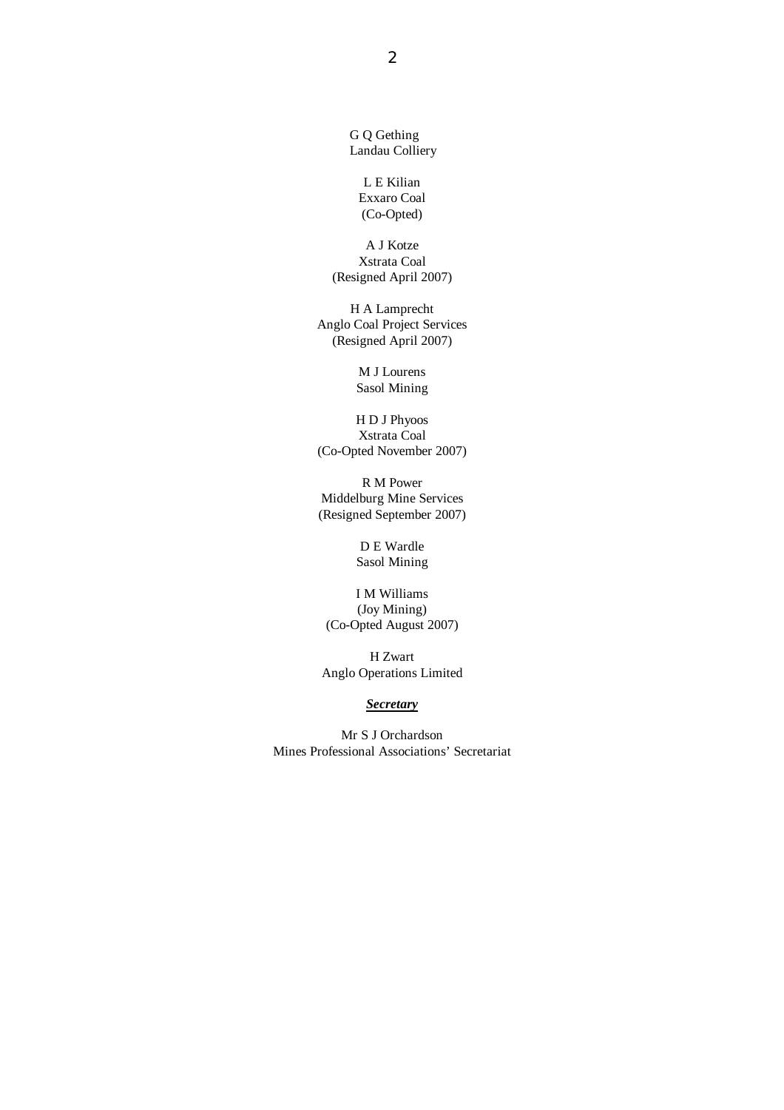G Q Gething Landau Colliery

> L E Kilian Exxaro Coal (Co-Opted)

A J Kotze Xstrata Coal (Resigned April 2007)

H A Lamprecht Anglo Coal Project Services (Resigned April 2007)

> M J Lourens Sasol Mining

H D J Phyoos Xstrata Coal (Co-Opted November 2007)

R M Power Middelburg Mine Services (Resigned September 2007)

> D E Wardle Sasol Mining

I M Williams (Joy Mining) (Co-Opted August 2007)

H Zwart Anglo Operations Limited

## *Secretary*

Mr S J Orchardson Mines Professional Associations' Secretariat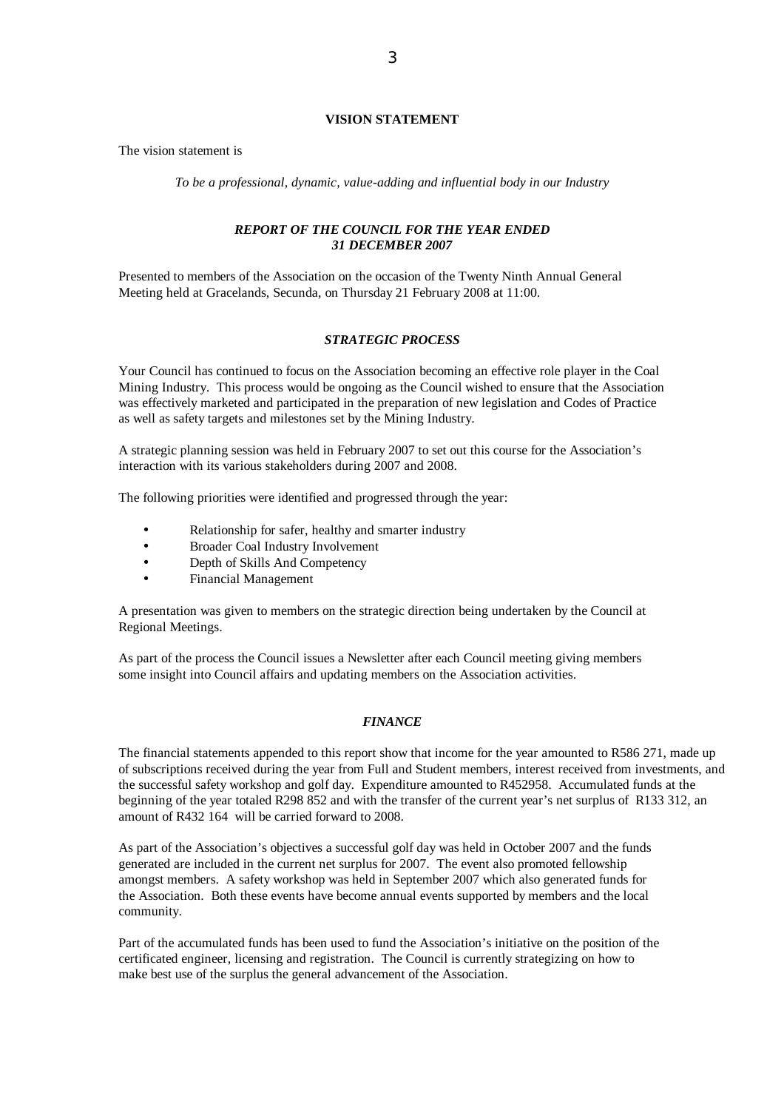#### **VISION STATEMENT**

The vision statement is

*To be a professional, dynamic, value-adding and influential body in our Industry* 

## *REPORT OF THE COUNCIL FOR THE YEAR ENDED 31 DECEMBER 2007*

Presented to members of the Association on the occasion of the Twenty Ninth Annual General Meeting held at Gracelands, Secunda, on Thursday 21 February 2008 at 11:00.

## *STRATEGIC PROCESS*

Your Council has continued to focus on the Association becoming an effective role player in the Coal Mining Industry. This process would be ongoing as the Council wished to ensure that the Association was effectively marketed and participated in the preparation of new legislation and Codes of Practice as well as safety targets and milestones set by the Mining Industry.

A strategic planning session was held in February 2007 to set out this course for the Association's interaction with its various stakeholders during 2007 and 2008.

The following priorities were identified and progressed through the year:

- Relationship for safer, healthy and smarter industry
- Broader Coal Industry Involvement
- Depth of Skills And Competency
- Financial Management

A presentation was given to members on the strategic direction being undertaken by the Council at Regional Meetings.

As part of the process the Council issues a Newsletter after each Council meeting giving members some insight into Council affairs and updating members on the Association activities.

## *FINANCE*

The financial statements appended to this report show that income for the year amounted to R586 271, made up of subscriptions received during the year from Full and Student members, interest received from investments, and the successful safety workshop and golf day. Expenditure amounted to R452958. Accumulated funds at the beginning of the year totaled R298 852 and with the transfer of the current year's net surplus of R133 312, an amount of R432 164 will be carried forward to 2008.

As part of the Association's objectives a successful golf day was held in October 2007 and the funds generated are included in the current net surplus for 2007. The event also promoted fellowship amongst members. A safety workshop was held in September 2007 which also generated funds for the Association. Both these events have become annual events supported by members and the local community.

Part of the accumulated funds has been used to fund the Association's initiative on the position of the certificated engineer, licensing and registration. The Council is currently strategizing on how to make best use of the surplus the general advancement of the Association.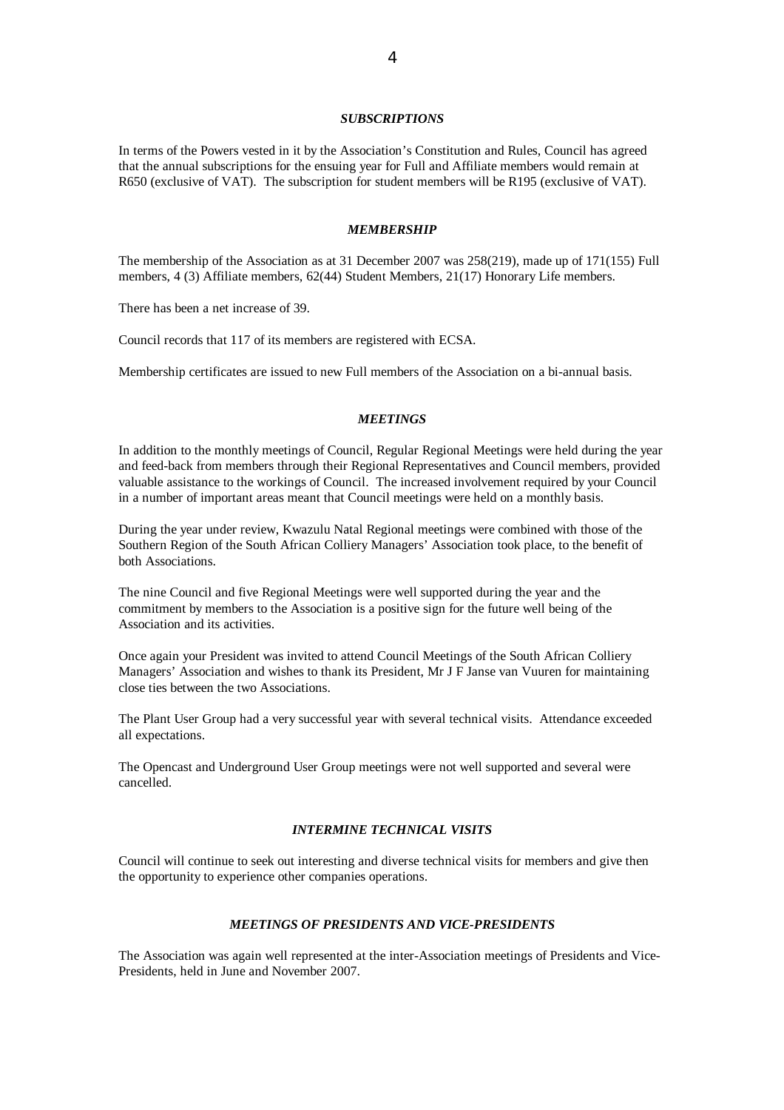#### *SUBSCRIPTIONS*

In terms of the Powers vested in it by the Association's Constitution and Rules, Council has agreed that the annual subscriptions for the ensuing year for Full and Affiliate members would remain at R650 (exclusive of VAT). The subscription for student members will be R195 (exclusive of VAT).

#### *MEMBERSHIP*

The membership of the Association as at 31 December 2007 was 258(219), made up of 171(155) Full members, 4 (3) Affiliate members, 62(44) Student Members, 21(17) Honorary Life members.

There has been a net increase of 39.

Council records that 117 of its members are registered with ECSA.

Membership certificates are issued to new Full members of the Association on a bi-annual basis.

#### *MEETINGS*

In addition to the monthly meetings of Council, Regular Regional Meetings were held during the year and feed-back from members through their Regional Representatives and Council members, provided valuable assistance to the workings of Council. The increased involvement required by your Council in a number of important areas meant that Council meetings were held on a monthly basis.

During the year under review, Kwazulu Natal Regional meetings were combined with those of the Southern Region of the South African Colliery Managers' Association took place, to the benefit of both Associations.

The nine Council and five Regional Meetings were well supported during the year and the commitment by members to the Association is a positive sign for the future well being of the Association and its activities.

Once again your President was invited to attend Council Meetings of the South African Colliery Managers' Association and wishes to thank its President, Mr J F Janse van Vuuren for maintaining close ties between the two Associations.

The Plant User Group had a very successful year with several technical visits. Attendance exceeded all expectations.

The Opencast and Underground User Group meetings were not well supported and several were cancelled.

## *INTERMINE TECHNICAL VISITS*

Council will continue to seek out interesting and diverse technical visits for members and give then the opportunity to experience other companies operations.

#### *MEETINGS OF PRESIDENTS AND VICE-PRESIDENTS*

The Association was again well represented at the inter-Association meetings of Presidents and Vice-Presidents, held in June and November 2007.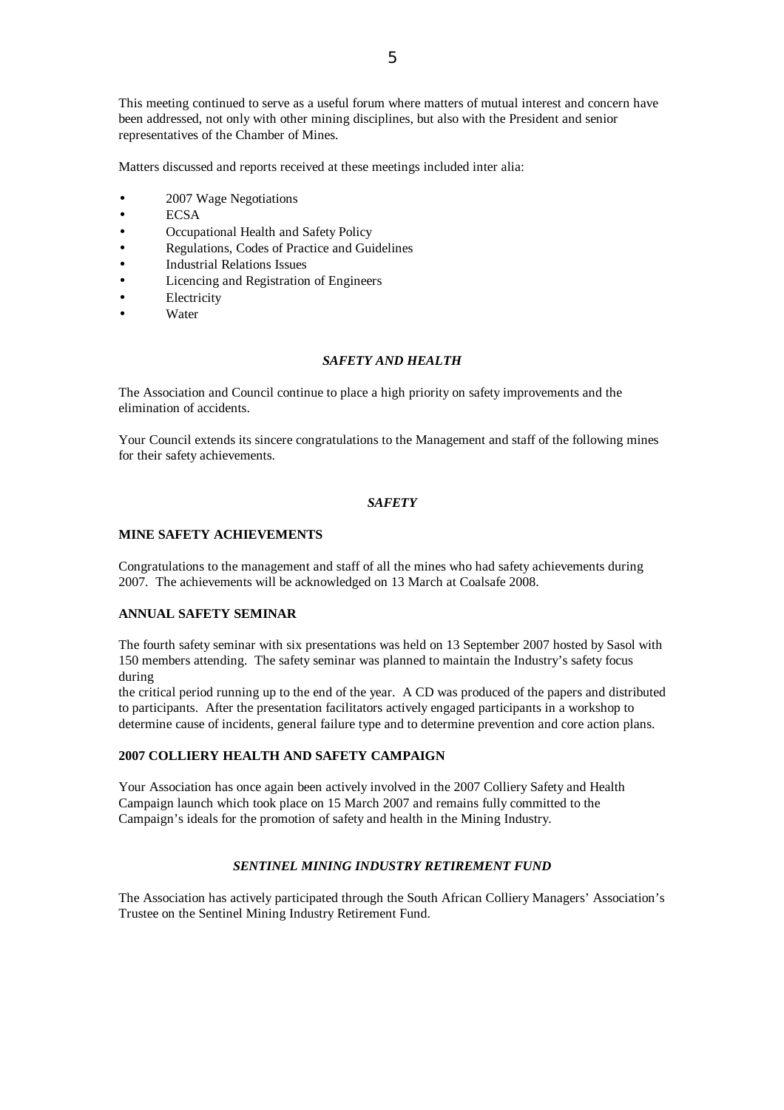This meeting continued to serve as a useful forum where matters of mutual interest and concern have been addressed, not only with other mining disciplines, but also with the President and senior representatives of the Chamber of Mines.

Matters discussed and reports received at these meetings included inter alia:

- 2007 Wage Negotiations
- ECSA
- Occupational Health and Safety Policy
- Regulations, Codes of Practice and Guidelines
- Industrial Relations Issues
- Licencing and Registration of Engineers
- **Electricity**
- **Water**

### *SAFETY AND HEALTH*

The Association and Council continue to place a high priority on safety improvements and the elimination of accidents.

Your Council extends its sincere congratulations to the Management and staff of the following mines for their safety achievements.

## *SAFETY*

#### **MINE SAFETY ACHIEVEMENTS**

Congratulations to the management and staff of all the mines who had safety achievements during 2007. The achievements will be acknowledged on 13 March at Coalsafe 2008.

### **ANNUAL SAFETY SEMINAR**

The fourth safety seminar with six presentations was held on 13 September 2007 hosted by Sasol with 150 members attending. The safety seminar was planned to maintain the Industry's safety focus during

the critical period running up to the end of the year. A CD was produced of the papers and distributed to participants. After the presentation facilitators actively engaged participants in a workshop to determine cause of incidents, general failure type and to determine prevention and core action plans.

## **2007 COLLIERY HEALTH AND SAFETY CAMPAIGN**

Your Association has once again been actively involved in the 2007 Colliery Safety and Health Campaign launch which took place on 15 March 2007 and remains fully committed to the Campaign's ideals for the promotion of safety and health in the Mining Industry.

### *SENTINEL MINING INDUSTRY RETIREMENT FUND*

The Association has actively participated through the South African Colliery Managers' Association's Trustee on the Sentinel Mining Industry Retirement Fund.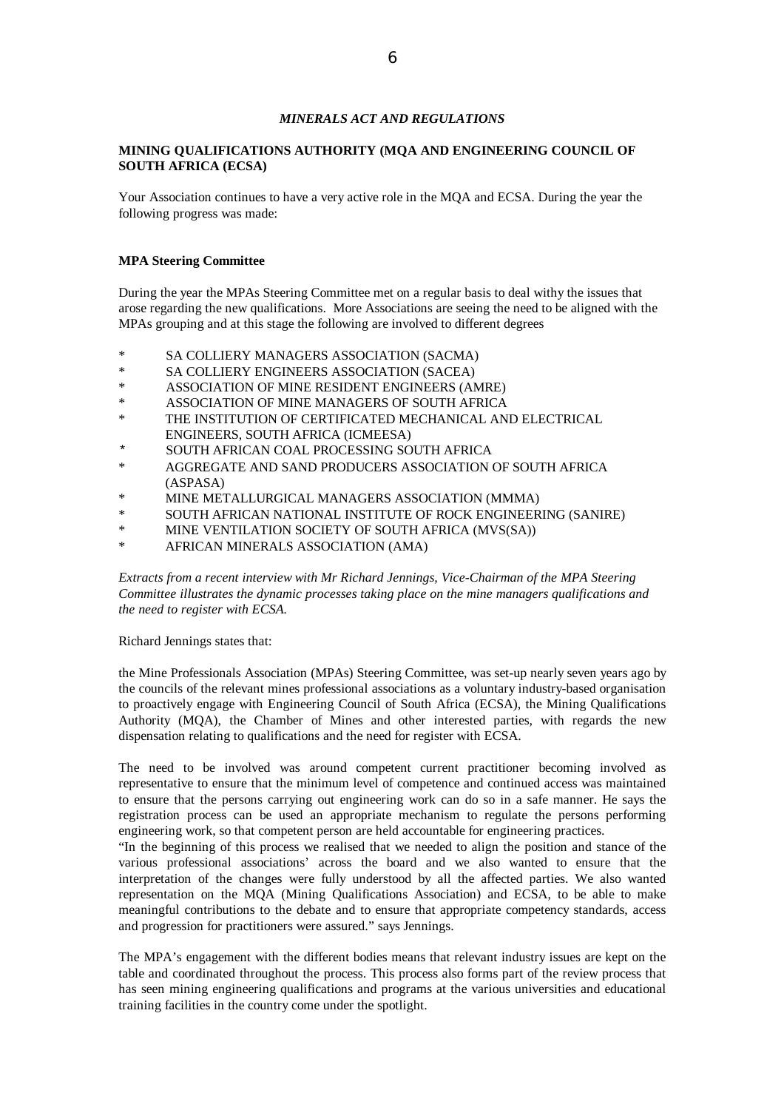## *MINERALS ACT AND REGULATIONS*

## **MINING QUALIFICATIONS AUTHORITY (MQA AND ENGINEERING COUNCIL OF SOUTH AFRICA (ECSA)**

Your Association continues to have a very active role in the MQA and ECSA. During the year the following progress was made:

#### **MPA Steering Committee**

During the year the MPAs Steering Committee met on a regular basis to deal withy the issues that arose regarding the new qualifications. More Associations are seeing the need to be aligned with the MPAs grouping and at this stage the following are involved to different degrees

- \* SA COLLIERY MANAGERS ASSOCIATION (SACMA)
- \* SA COLLIERY ENGINEERS ASSOCIATION (SACEA)
- \* ASSOCIATION OF MINE RESIDENT ENGINEERS (AMRE)
- ASSOCIATION OF MINE MANAGERS OF SOUTH AFRICA
- \* THE INSTITUTION OF CERTIFICATED MECHANICAL AND ELECTRICAL ENGINEERS, SOUTH AFRICA (ICMEESA)
- \* SOUTH AFRICAN COAL PROCESSING SOUTH AFRICA
- \* AGGREGATE AND SAND PRODUCERS ASSOCIATION OF SOUTH AFRICA (ASPASA)
- MINE METALLURGICAL MANAGERS ASSOCIATION (MMMA)
- \* SOUTH AFRICAN NATIONAL INSTITUTE OF ROCK ENGINEERING (SANIRE)
- \* MINE VENTILATION SOCIETY OF SOUTH AFRICA (MVS(SA))
- \* AFRICAN MINERALS ASSOCIATION (AMA)

*Extracts from a recent interview with Mr Richard Jennings, Vice-Chairman of the MPA Steering Committee illustrates the dynamic processes taking place on the mine managers qualifications and the need to register with ECSA.* 

Richard Jennings states that:

the Mine Professionals Association (MPAs) Steering Committee, was set-up nearly seven years ago by the councils of the relevant mines professional associations as a voluntary industry-based organisation to proactively engage with Engineering Council of South Africa (ECSA), the Mining Qualifications Authority (MQA), the Chamber of Mines and other interested parties, with regards the new dispensation relating to qualifications and the need for register with ECSA.

The need to be involved was around competent current practitioner becoming involved as representative to ensure that the minimum level of competence and continued access was maintained to ensure that the persons carrying out engineering work can do so in a safe manner. He says the registration process can be used an appropriate mechanism to regulate the persons performing engineering work, so that competent person are held accountable for engineering practices.

"In the beginning of this process we realised that we needed to align the position and stance of the various professional associations' across the board and we also wanted to ensure that the interpretation of the changes were fully understood by all the affected parties. We also wanted representation on the MQA (Mining Qualifications Association) and ECSA, to be able to make meaningful contributions to the debate and to ensure that appropriate competency standards, access and progression for practitioners were assured." says Jennings.

The MPA's engagement with the different bodies means that relevant industry issues are kept on the table and coordinated throughout the process. This process also forms part of the review process that has seen mining engineering qualifications and programs at the various universities and educational training facilities in the country come under the spotlight.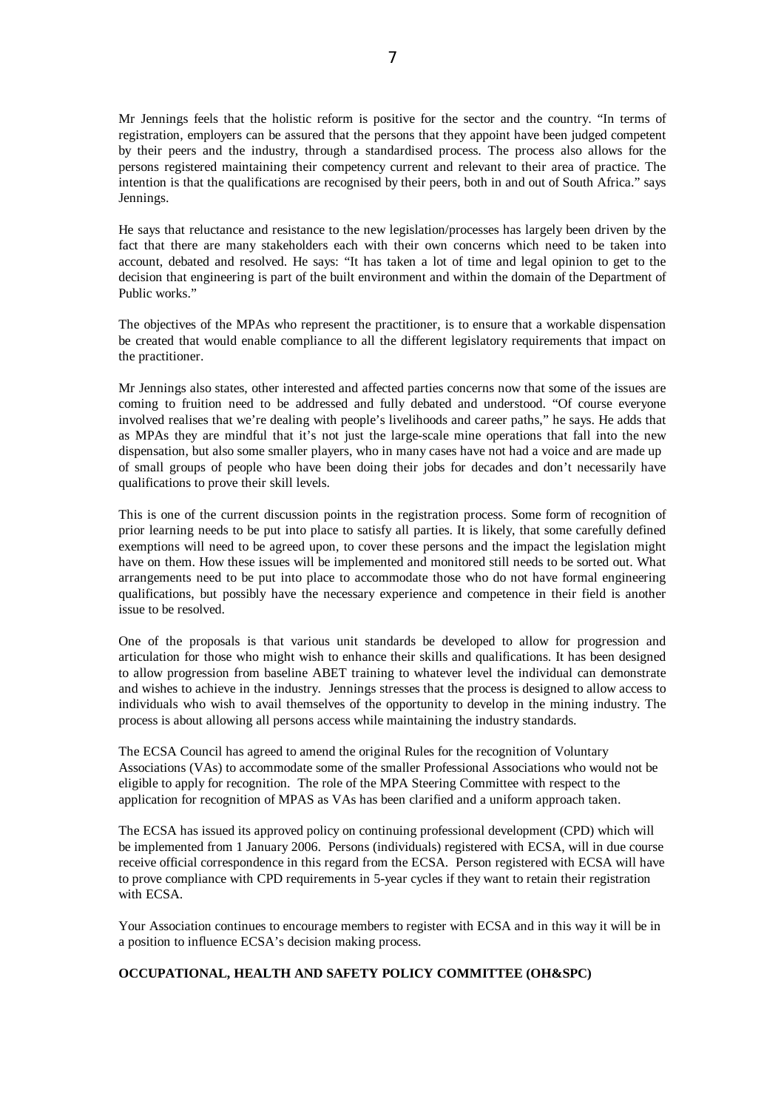Mr Jennings feels that the holistic reform is positive for the sector and the country. "In terms of registration, employers can be assured that the persons that they appoint have been judged competent by their peers and the industry, through a standardised process. The process also allows for the persons registered maintaining their competency current and relevant to their area of practice. The intention is that the qualifications are recognised by their peers, both in and out of South Africa." says Jennings.

He says that reluctance and resistance to the new legislation/processes has largely been driven by the fact that there are many stakeholders each with their own concerns which need to be taken into account, debated and resolved. He says: "It has taken a lot of time and legal opinion to get to the decision that engineering is part of the built environment and within the domain of the Department of Public works."

The objectives of the MPAs who represent the practitioner, is to ensure that a workable dispensation be created that would enable compliance to all the different legislatory requirements that impact on the practitioner.

Mr Jennings also states, other interested and affected parties concerns now that some of the issues are coming to fruition need to be addressed and fully debated and understood. "Of course everyone involved realises that we're dealing with people's livelihoods and career paths," he says. He adds that as MPAs they are mindful that it's not just the large-scale mine operations that fall into the new dispensation, but also some smaller players, who in many cases have not had a voice and are made up of small groups of people who have been doing their jobs for decades and don't necessarily have qualifications to prove their skill levels.

This is one of the current discussion points in the registration process. Some form of recognition of prior learning needs to be put into place to satisfy all parties. It is likely, that some carefully defined exemptions will need to be agreed upon, to cover these persons and the impact the legislation might have on them. How these issues will be implemented and monitored still needs to be sorted out. What arrangements need to be put into place to accommodate those who do not have formal engineering qualifications, but possibly have the necessary experience and competence in their field is another issue to be resolved.

One of the proposals is that various unit standards be developed to allow for progression and articulation for those who might wish to enhance their skills and qualifications. It has been designed to allow progression from baseline ABET training to whatever level the individual can demonstrate and wishes to achieve in the industry. Jennings stresses that the process is designed to allow access to individuals who wish to avail themselves of the opportunity to develop in the mining industry. The process is about allowing all persons access while maintaining the industry standards.

The ECSA Council has agreed to amend the original Rules for the recognition of Voluntary Associations (VAs) to accommodate some of the smaller Professional Associations who would not be eligible to apply for recognition. The role of the MPA Steering Committee with respect to the application for recognition of MPAS as VAs has been clarified and a uniform approach taken.

The ECSA has issued its approved policy on continuing professional development (CPD) which will be implemented from 1 January 2006. Persons (individuals) registered with ECSA, will in due course receive official correspondence in this regard from the ECSA. Person registered with ECSA will have to prove compliance with CPD requirements in 5-year cycles if they want to retain their registration with ECSA.

Your Association continues to encourage members to register with ECSA and in this way it will be in a position to influence ECSA's decision making process.

#### **OCCUPATIONAL, HEALTH AND SAFETY POLICY COMMITTEE (OH&SPC)**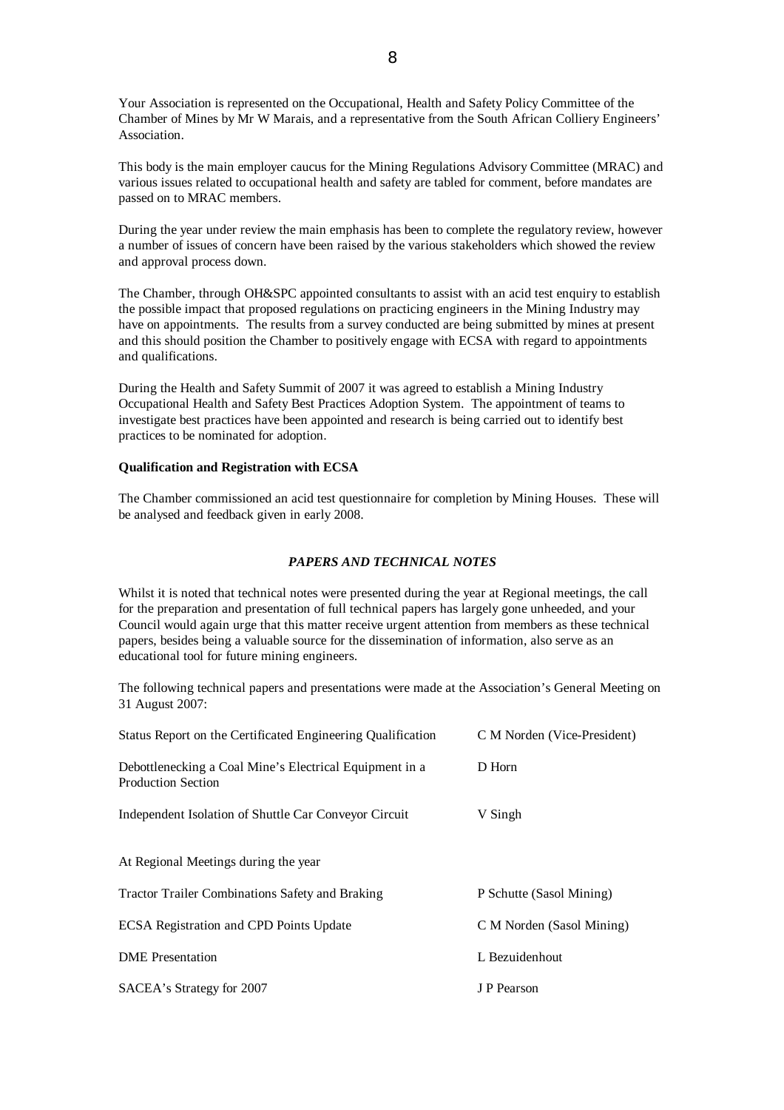Your Association is represented on the Occupational, Health and Safety Policy Committee of the Chamber of Mines by Mr W Marais, and a representative from the South African Colliery Engineers' Association.

This body is the main employer caucus for the Mining Regulations Advisory Committee (MRAC) and various issues related to occupational health and safety are tabled for comment, before mandates are passed on to MRAC members.

During the year under review the main emphasis has been to complete the regulatory review, however a number of issues of concern have been raised by the various stakeholders which showed the review and approval process down.

The Chamber, through OH&SPC appointed consultants to assist with an acid test enquiry to establish the possible impact that proposed regulations on practicing engineers in the Mining Industry may have on appointments. The results from a survey conducted are being submitted by mines at present and this should position the Chamber to positively engage with ECSA with regard to appointments and qualifications.

During the Health and Safety Summit of 2007 it was agreed to establish a Mining Industry Occupational Health and Safety Best Practices Adoption System. The appointment of teams to investigate best practices have been appointed and research is being carried out to identify best practices to be nominated for adoption.

### **Qualification and Registration with ECSA**

The Chamber commissioned an acid test questionnaire for completion by Mining Houses. These will be analysed and feedback given in early 2008.

### *PAPERS AND TECHNICAL NOTES*

Whilst it is noted that technical notes were presented during the year at Regional meetings, the call for the preparation and presentation of full technical papers has largely gone unheeded, and your Council would again urge that this matter receive urgent attention from members as these technical papers, besides being a valuable source for the dissemination of information, also serve as an educational tool for future mining engineers.

The following technical papers and presentations were made at the Association's General Meeting on 31 August 2007:

| Status Report on the Certificated Engineering Qualification                          | C M Norden (Vice-President) |
|--------------------------------------------------------------------------------------|-----------------------------|
| Debottlenecking a Coal Mine's Electrical Equipment in a<br><b>Production Section</b> | D Horn                      |
| Independent Isolation of Shuttle Car Conveyor Circuit                                | V Singh                     |
| At Regional Meetings during the year                                                 |                             |
| Tractor Trailer Combinations Safety and Braking                                      | P Schutte (Sasol Mining)    |
| <b>ECSA</b> Registration and CPD Points Update                                       | C M Norden (Sasol Mining)   |
| <b>DME</b> Presentation                                                              | L Bezuidenhout              |
| SACEA's Strategy for 2007                                                            | J P Pearson                 |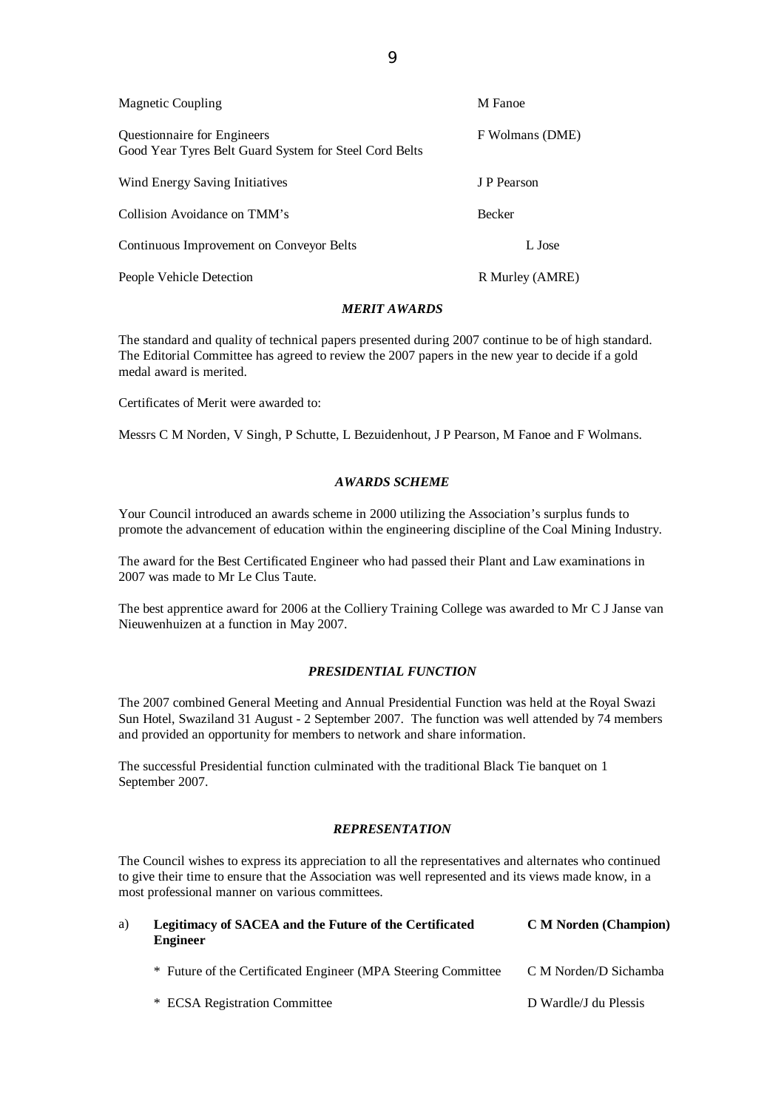| <b>Magnetic Coupling</b>                                                                     | M Fanoe         |
|----------------------------------------------------------------------------------------------|-----------------|
| <b>Questionnaire for Engineers</b><br>Good Year Tyres Belt Guard System for Steel Cord Belts | F Wolmans (DME) |
| Wind Energy Saving Initiatives                                                               | J P Pearson     |
| Collision Avoidance on TMM's                                                                 | <b>Becker</b>   |
| Continuous Improvement on Conveyor Belts                                                     | L Jose          |
| People Vehicle Detection                                                                     | R Murley (AMRE) |

### *MERIT AWARDS*

The standard and quality of technical papers presented during 2007 continue to be of high standard. The Editorial Committee has agreed to review the 2007 papers in the new year to decide if a gold medal award is merited.

Certificates of Merit were awarded to:

Messrs C M Norden, V Singh, P Schutte, L Bezuidenhout, J P Pearson, M Fanoe and F Wolmans.

## *AWARDS SCHEME*

Your Council introduced an awards scheme in 2000 utilizing the Association's surplus funds to promote the advancement of education within the engineering discipline of the Coal Mining Industry.

The award for the Best Certificated Engineer who had passed their Plant and Law examinations in 2007 was made to Mr Le Clus Taute.

The best apprentice award for 2006 at the Colliery Training College was awarded to Mr C J Janse van Nieuwenhuizen at a function in May 2007.

## *PRESIDENTIAL FUNCTION*

The 2007 combined General Meeting and Annual Presidential Function was held at the Royal Swazi Sun Hotel, Swaziland 31 August - 2 September 2007. The function was well attended by 74 members and provided an opportunity for members to network and share information.

The successful Presidential function culminated with the traditional Black Tie banquet on 1 September 2007.

## *REPRESENTATION*

The Council wishes to express its appreciation to all the representatives and alternates who continued to give their time to ensure that the Association was well represented and its views made know, in a most professional manner on various committees.

| a) | Legitimacy of SACEA and the Future of the Certificated<br><b>Engineer</b> | <b>C</b> M Norden (Champion) |
|----|---------------------------------------------------------------------------|------------------------------|
|    | * Future of the Certificated Engineer (MPA Steering Committee             | C M Norden/D Sichamba        |
|    | * ECSA Registration Committee                                             | D Wardle/J du Plessis        |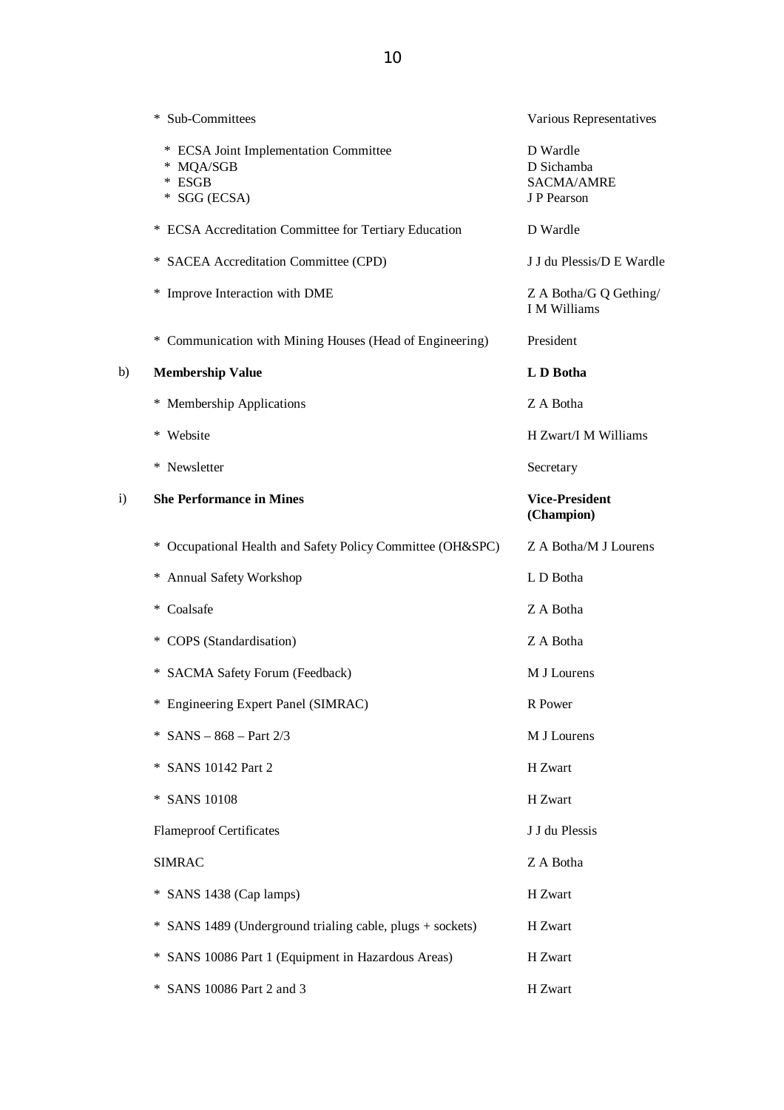|    | Sub-Committees<br>$\ast$                                                     | Various Representatives                                    |
|----|------------------------------------------------------------------------------|------------------------------------------------------------|
|    | * ECSA Joint Implementation Committee<br>* MQA/SGB<br>* ESGB<br>* SGG (ECSA) | D Wardle<br>D Sichamba<br><b>SACMA/AMRE</b><br>J P Pearson |
|    | * ECSA Accreditation Committee for Tertiary Education                        | D Wardle                                                   |
|    | * SACEA Accreditation Committee (CPD)                                        | J J du Plessis/D E Wardle                                  |
|    | * Improve Interaction with DME                                               | Z A Botha/G Q Gething/<br>I M Williams                     |
|    | * Communication with Mining Houses (Head of Engineering)                     | President                                                  |
| b) | <b>Membership Value</b>                                                      | L D Botha                                                  |
|    | * Membership Applications                                                    | Z A Botha                                                  |
|    | * Website                                                                    | H Zwart/I M Williams                                       |
|    | * Newsletter                                                                 | Secretary                                                  |
| i) | <b>She Performance in Mines</b>                                              | <b>Vice-President</b><br>(Champion)                        |
|    | * Occupational Health and Safety Policy Committee (OH&SPC)                   | Z A Botha/M J Lourens                                      |
|    | * Annual Safety Workshop                                                     | L D Botha                                                  |
|    | Coalsafe<br>$*$                                                              | Z A Botha                                                  |
|    | COPS (Standardisation)<br>$*$                                                | Z A Botha                                                  |
|    | <b>SACMA Safety Forum (Feedback)</b><br>$\ast$                               | M J Lourens                                                |
|    | * Engineering Expert Panel (SIMRAC)                                          | R Power                                                    |
|    | $SANS - 868 - Part 2/3$<br>$*$                                               | M J Lourens                                                |
|    | SANS 10142 Part 2<br>$*$                                                     | H Zwart                                                    |
|    | <b>SANS 10108</b><br>$*$                                                     | H Zwart                                                    |
|    | <b>Flameproof Certificates</b>                                               | J J du Plessis                                             |
|    | <b>SIMRAC</b>                                                                | Z A Botha                                                  |
|    | SANS 1438 (Cap lamps)<br>$\ast$                                              | H Zwart                                                    |
|    | SANS 1489 (Underground trialing cable, plugs + sockets)<br>$\ast$            | H Zwart                                                    |
|    | SANS 10086 Part 1 (Equipment in Hazardous Areas)<br>∗                        | H Zwart                                                    |
|    | SANS 10086 Part 2 and 3<br>$*$                                               | H Zwart                                                    |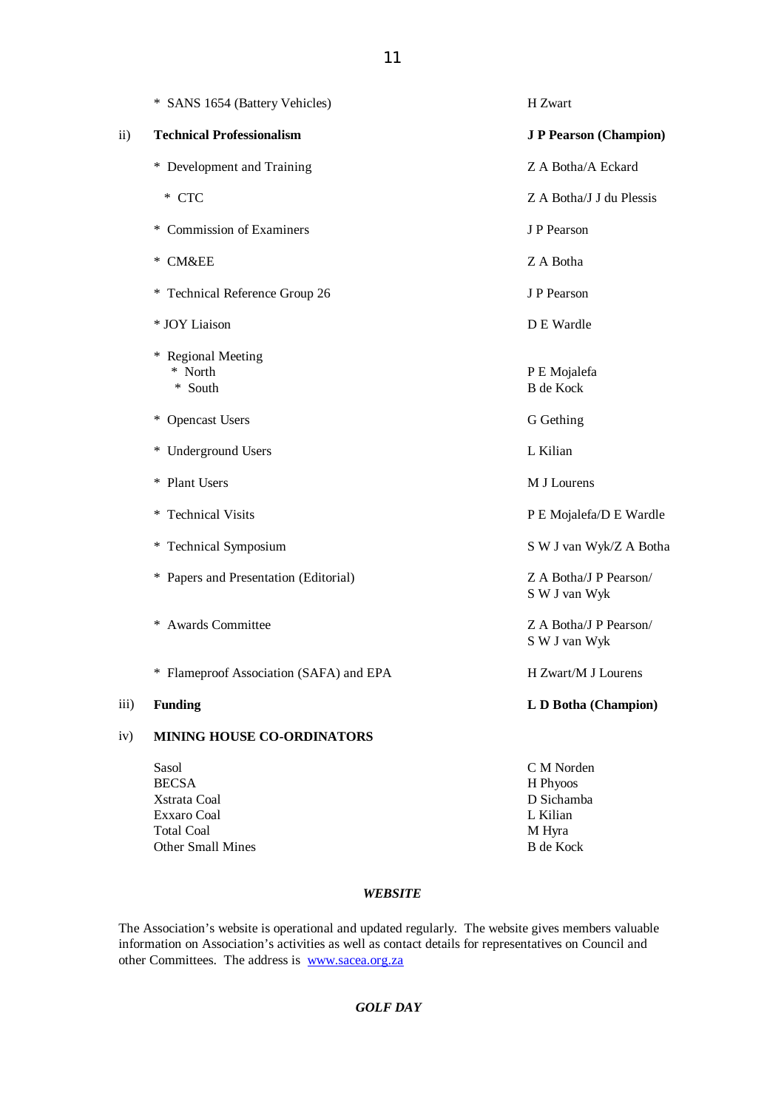|      | * SANS 1654 (Battery Vehicles)           | H Zwart                                 |
|------|------------------------------------------|-----------------------------------------|
| ii)  | <b>Technical Professionalism</b>         | <b>J P Pearson (Champion)</b>           |
|      | * Development and Training               | Z A Botha/A Eckard                      |
|      | * CTC                                    | Z A Botha/J J du Plessis                |
|      | * Commission of Examiners                | J P Pearson                             |
|      | * CM&EE                                  | Z A Botha                               |
|      | * Technical Reference Group 26           | J P Pearson                             |
|      | * JOY Liaison                            | D E Wardle                              |
|      | * Regional Meeting<br>* North<br>* South | P E Mojalefa<br><b>B</b> de Kock        |
|      | * Opencast Users                         | G Gething                               |
|      | * Underground Users                      | L Kilian                                |
|      | * Plant Users                            | M J Lourens                             |
|      | * Technical Visits                       | P E Mojalefa/D E Wardle                 |
|      | * Technical Symposium                    | S W J van Wyk/Z A Botha                 |
|      | * Papers and Presentation (Editorial)    | Z A Botha/J P Pearson/<br>S W J van Wyk |
|      | * Awards Committee                       | Z A Botha/J P Pearson/<br>S W J van Wyk |
|      | * Flameproof Association (SAFA) and EPA  | H Zwart/M J Lourens                     |
| iii) | <b>Funding</b>                           | L D Botha (Champion)                    |
| iv)  | MINING HOUSE CO-ORDINATORS               |                                         |
|      | Sasol<br><b>BECSA</b><br>Xstrata Coal    | C M Norden<br>H Phyoos<br>D Sichamba    |

11

## *WEBSITE*

Exxaro Coal L Kilian Total Coal Mercy and Mercy and Mercy and Mercy and Mercy and Mercy and Mercy and Mercy and Mercy and Mercy and Mercy and Mercy and Mercy and Mercy and Mercy and Mercy and Mercy and Mercy and Mercy and Mercy and Mercy and M

Other Small Mines

The Association's website is operational and updated regularly. The website gives members valuable information on Association's activities as well as contact details for representatives on Council and other Committees. The address is [www.sacea.org.za](http://www.sacea.org.za)

## *GOLF DAY*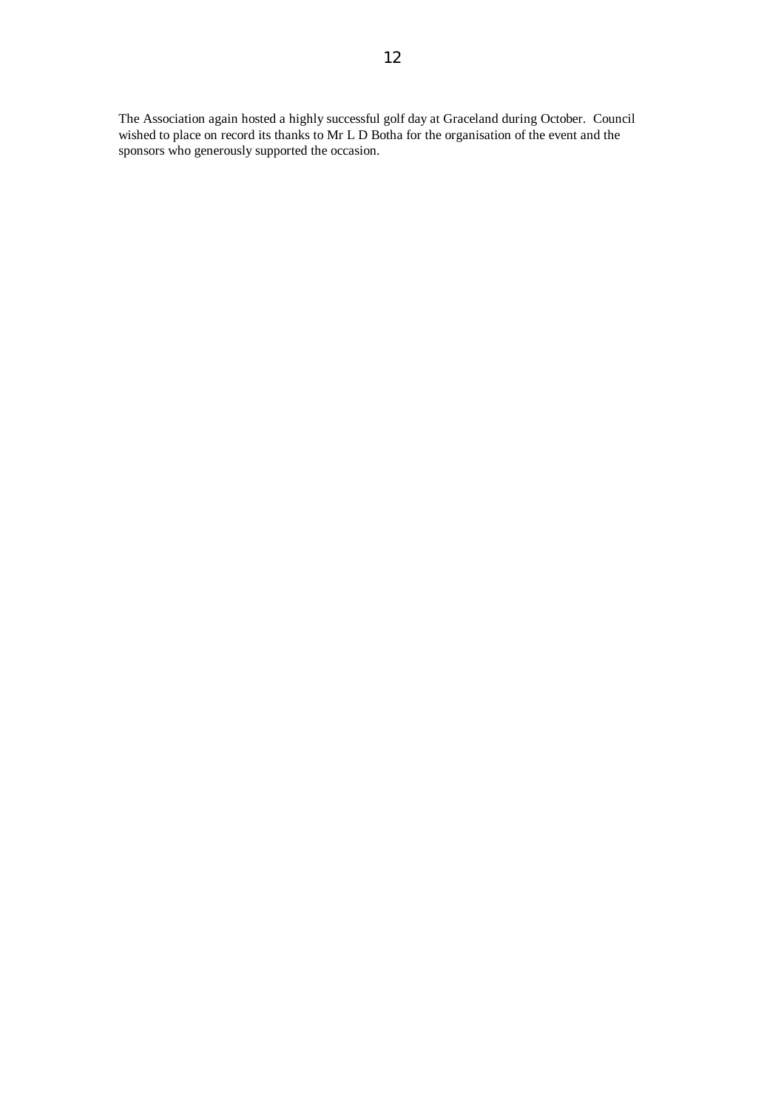12

The Association again hosted a highly successful golf day at Graceland during October. Council wished to place on record its thanks to Mr L D Botha for the organisation of the event and the sponsors who generously supported the occasion.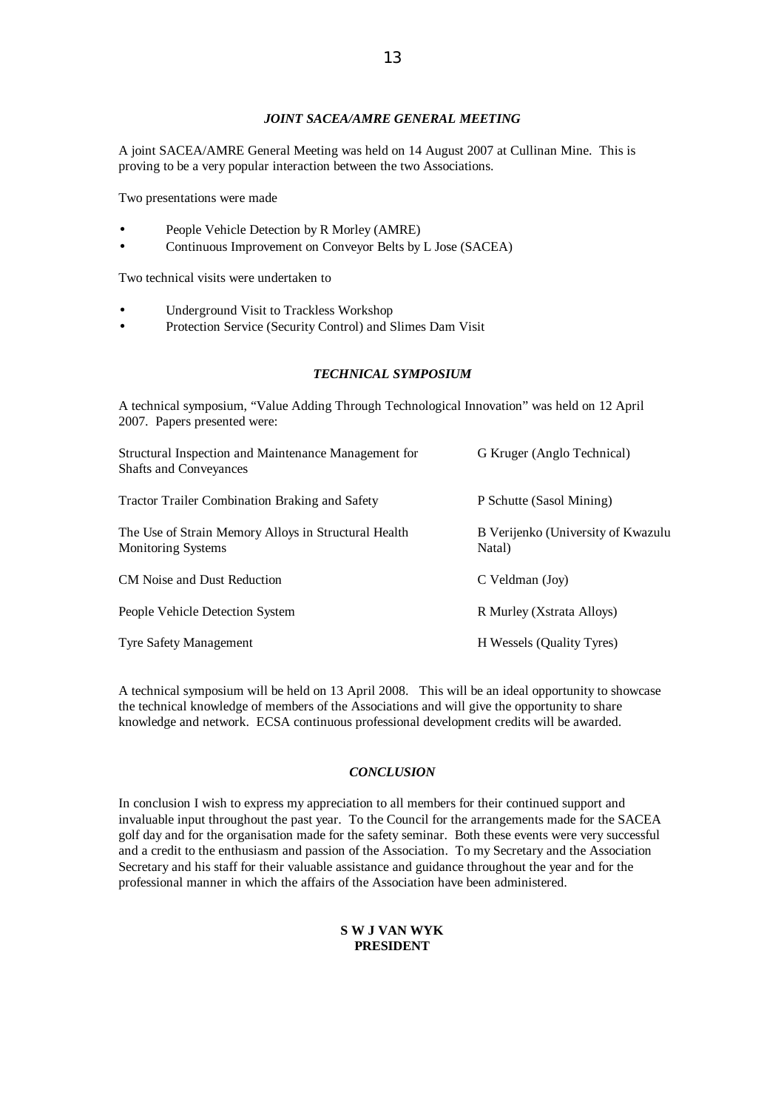### *JOINT SACEA/AMRE GENERAL MEETING*

A joint SACEA/AMRE General Meeting was held on 14 August 2007 at Cullinan Mine. This is proving to be a very popular interaction between the two Associations.

Two presentations were made

- People Vehicle Detection by R Morley (AMRE)
- Continuous Improvement on Conveyor Belts by L Jose (SACEA)

Two technical visits were undertaken to

- Underground Visit to Trackless Workshop
- Protection Service (Security Control) and Slimes Dam Visit

### *TECHNICAL SYMPOSIUM*

A technical symposium, "Value Adding Through Technological Innovation" was held on 12 April 2007. Papers presented were:

| Structural Inspection and Maintenance Management for<br><b>Shafts and Conveyances</b> | G Kruger (Anglo Technical)                   |
|---------------------------------------------------------------------------------------|----------------------------------------------|
| Tractor Trailer Combination Braking and Safety                                        | P Schutte (Sasol Mining)                     |
| The Use of Strain Memory Alloys in Structural Health<br><b>Monitoring Systems</b>     | B Verijenko (University of Kwazulu<br>Natal) |
| CM Noise and Dust Reduction                                                           | C Veldman (Joy)                              |
| People Vehicle Detection System                                                       | R Murley (Xstrata Alloys)                    |
| <b>Tyre Safety Management</b>                                                         | H Wessels (Quality Tyres)                    |

A technical symposium will be held on 13 April 2008. This will be an ideal opportunity to showcase the technical knowledge of members of the Associations and will give the opportunity to share knowledge and network. ECSA continuous professional development credits will be awarded.

## *CONCLUSION*

In conclusion I wish to express my appreciation to all members for their continued support and invaluable input throughout the past year. To the Council for the arrangements made for the SACEA golf day and for the organisation made for the safety seminar. Both these events were very successful and a credit to the enthusiasm and passion of the Association. To my Secretary and the Association Secretary and his staff for their valuable assistance and guidance throughout the year and for the professional manner in which the affairs of the Association have been administered.

## **S W J VAN WYK PRESIDENT**